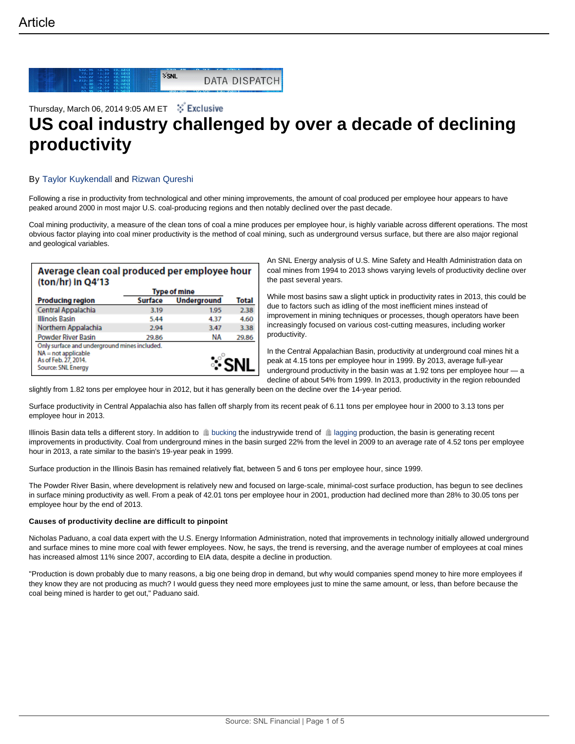

# Thursday, March 06, 2014 9:05 AM ET  $\stackrel{**}{*}$  Exclusive **US coal industry challenged by over a decade of declining productivity**

# By Taylor Kuykendall and Rizwan Qureshi

Following a rise in productivity from technological and other mining improvements, the amount of coal produced per employee hour appears to have peaked around 2000 in most major U.S. coal-producing regions and then notably declined over the past decade.

Coal mining productivity, a measure of the clean tons of coal a mine produces per employee hour, is highly variable across different operations. The most obvious factor playing into coal miner productivity is the method of coal mining, such as underground versus surface, but there are also major regional and geological variables.

| Average clean coal produced per employee hour<br>(ton/hr) in $Q4'13$                                                |                |                    |       |
|---------------------------------------------------------------------------------------------------------------------|----------------|--------------------|-------|
|                                                                                                                     | Type of mine   |                    |       |
| <b>Producing region</b>                                                                                             | <b>Surface</b> | <b>Underground</b> | Total |
| Central Appalachia                                                                                                  | 3.19           | 1.95               | 2.38  |
| Illinois Basin                                                                                                      | 5.44           | 4.37               | 4.60  |
| Northern Appalachia                                                                                                 | 2.94           | 3.47               | 3.38  |
| Powder River Basin                                                                                                  | 29.86          | ΝA                 | 29.86 |
| Only surface and underground mines included.<br>$NA = not applicable$<br>As of Feb. 27, 2014.<br>Source: SNL Energy |                |                    |       |

An SNL Energy analysis of U.S. Mine Safety and Health Administration data on coal mines from 1994 to 2013 shows varying levels of productivity decline over the past several years.

While most basins saw a slight uptick in productivity rates in 2013, this could be due to factors such as idling of the most inefficient mines instead of improvement in mining techniques or processes, though operators have been increasingly focused on various cost-cutting measures, including worker productivity.

In the Central Appalachian Basin, productivity at underground coal mines hit a peak at 4.15 tons per employee hour in 1999. By 2013, average full-year underground productivity in the basin was at 1.92 tons per employee hour — a decline of about 54% from 1999. In 2013, productivity in the region rebounded

slightly from 1.82 tons per employee hour in 2012, but it has generally been on the decline over the 14-year period.

Surface productivity in Central Appalachia also has fallen off sharply from its recent peak of 6.11 tons per employee hour in 2000 to 3.13 tons per employee hour in 2013.

Illinois Basin data tells a different story. In addition to **ill** bucking the industrywide trend of la lagging production, the basin is generating recent improvements in productivity. Coal from underground mines in the basin surged 22% from the level in 2009 to an average rate of 4.52 tons per employee hour in 2013, a rate similar to the basin's 19-year peak in 1999.

Surface production in the Illinois Basin has remained relatively flat, between 5 and 6 tons per employee hour, since 1999.

The Powder River Basin, where development is relatively new and focused on large-scale, minimal-cost surface production, has begun to see declines in surface mining productivity as well. From a peak of 42.01 tons per employee hour in 2001, production had declined more than 28% to 30.05 tons per employee hour by the end of 2013.

# **Causes of productivity decline are difficult to pinpoint**

Nicholas Paduano, a coal data expert with the U.S. Energy Information Administration, noted that improvements in technology initially allowed underground and surface mines to mine more coal with fewer employees. Now, he says, the trend is reversing, and the average number of employees at coal mines has increased almost 11% since 2007, according to EIA data, despite a decline in production.

"Production is down probably due to many reasons, a big one being drop in demand, but why would companies spend money to hire more employees if they know they are not producing as much? I would guess they need more employees just to mine the same amount, or less, than before because the coal being mined is harder to get out," Paduano said.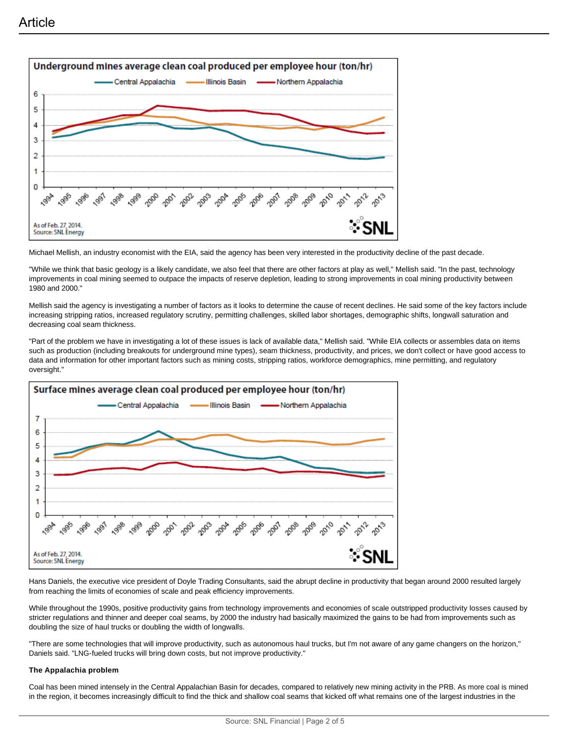

Michael Mellish, an industry economist with the EIA, said the agency has been very interested in the productivity decline of the past decade.

"While we think that basic geology is a likely candidate, we also feel that there are other factors at play as well," Mellish said. "In the past, technology improvements in coal mining seemed to outpace the impacts of reserve depletion, leading to strong improvements in coal mining productivity between 1980 and 2000."

Mellish said the agency is investigating a number of factors as it looks to determine the cause of recent declines. He said some of the key factors include increasing stripping ratios, increased regulatory scrutiny, permitting challenges, skilled labor shortages, demographic shifts, longwall saturation and decreasing coal seam thickness.

"Part of the problem we have in investigating a lot of these issues is lack of available data," Mellish said. "While EIA collects or assembles data on items such as production (including breakouts for underground mine types), seam thickness, productivity, and prices, we don't collect or have good access to data and information for other important factors such as mining costs, stripping ratios, workforce demographics, mine permitting, and regulatory oversight."



Hans Daniels, the executive vice president of Doyle Trading Consultants, said the abrupt decline in productivity that began around 2000 resulted largely from reaching the limits of economies of scale and peak efficiency improvements.

While throughout the 1990s, positive productivity gains from technology improvements and economies of scale outstripped productivity losses caused by stricter regulations and thinner and deeper coal seams, by 2000 the industry had basically maximized the gains to be had from improvements such as doubling the size of haul trucks or doubling the width of longwalls.

"There are some technologies that will improve productivity, such as autonomous haul trucks, but I'm not aware of any game changers on the horizon," Daniels said. "LNG-fueled trucks will bring down costs, but not improve productivity."

#### **The Appalachia problem**

Coal has been mined intensely in the Central Appalachian Basin for decades, compared to relatively new mining activity in the PRB. As more coal is mined in the region, it becomes increasingly difficult to find the thick and shallow coal seams that kicked off what remains one of the largest industries in the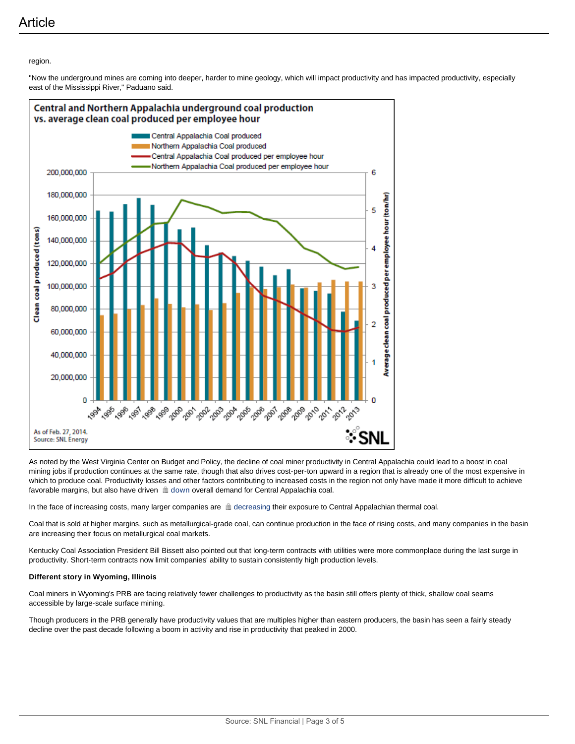**Article** 

## region.

"Now the underground mines are coming into deeper, harder to mine geology, which will impact productivity and has impacted productivity, especially east of the Mississippi River," Paduano said.



As noted by the West Virginia Center on Budget and Policy, the decline of coal miner productivity in Central Appalachia could lead to a boost in coal mining jobs if production continues at the same rate, though that also drives cost-per-ton upward in a region that is already one of the most expensive in which to produce coal. Productivity losses and other factors contributing to increased costs in the region not only have made it more difficult to achieve favorable margins, but also have driven  $\triangleq$  down overall demand for Central Appalachia coal.

In the face of increasing costs, many larger companies are  $\triangleq$  decreasing their exposure to Central Appalachian thermal coal.

Coal that is sold at higher margins, such as metallurgical-grade coal, can continue production in the face of rising costs, and many companies in the basin are increasing their focus on metallurgical coal markets.

Kentucky Coal Association President Bill Bissett also pointed out that long-term contracts with utilities were more commonplace during the last surge in productivity. Short-term contracts now limit companies' ability to sustain consistently high production levels.

#### **Different story in Wyoming, Illinois**

Coal miners in Wyoming's PRB are facing relatively fewer challenges to productivity as the basin still offers plenty of thick, shallow coal seams accessible by large-scale surface mining.

Though producers in the PRB generally have productivity values that are multiples higher than eastern producers, the basin has seen a fairly steady decline over the past decade following a boom in activity and rise in productivity that peaked in 2000.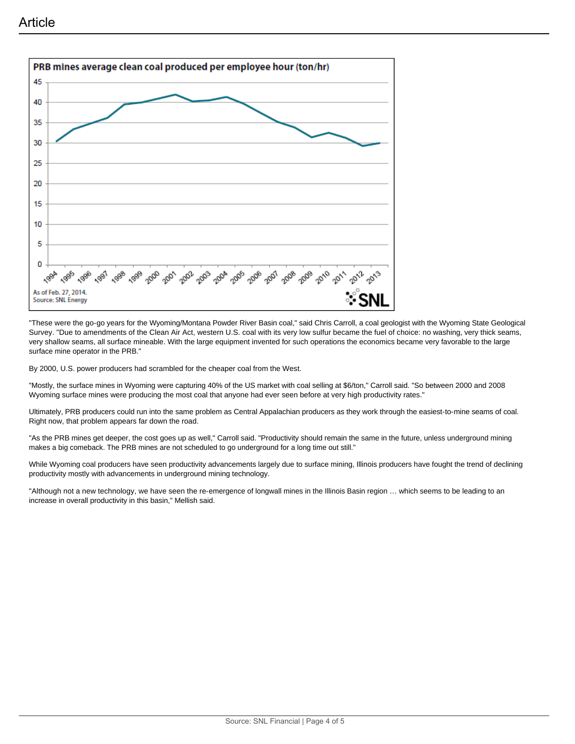

"These were the go-go years for the Wyoming/Montana Powder River Basin coal," said Chris Carroll, a coal geologist with the Wyoming State Geological Survey. "Due to amendments of the Clean Air Act, western U.S. coal with its very low sulfur became the fuel of choice: no washing, very thick seams, very shallow seams, all surface mineable. With the large equipment invented for such operations the economics became very favorable to the large surface mine operator in the PRB."

By 2000, U.S. power producers had scrambled for the cheaper coal from the West.

"Mostly, the surface mines in Wyoming were capturing 40% of the US market with coal selling at \$6/ton," Carroll said. "So between 2000 and 2008 Wyoming surface mines were producing the most coal that anyone had ever seen before at very high productivity rates."

Ultimately, PRB producers could run into the same problem as Central Appalachian producers as they work through the easiest-to-mine seams of coal. Right now, that problem appears far down the road.

"As the PRB mines get deeper, the cost goes up as well," Carroll said. "Productivity should remain the same in the future, unless underground mining makes a big comeback. The PRB mines are not scheduled to go underground for a long time out still."

While Wyoming coal producers have seen productivity advancements largely due to surface mining, Illinois producers have fought the trend of declining productivity mostly with advancements in underground mining technology.

"Although not a new technology, we have seen the re-emergence of longwall mines in the Illinois Basin region … which seems to be leading to an increase in overall productivity in this basin," Mellish said.